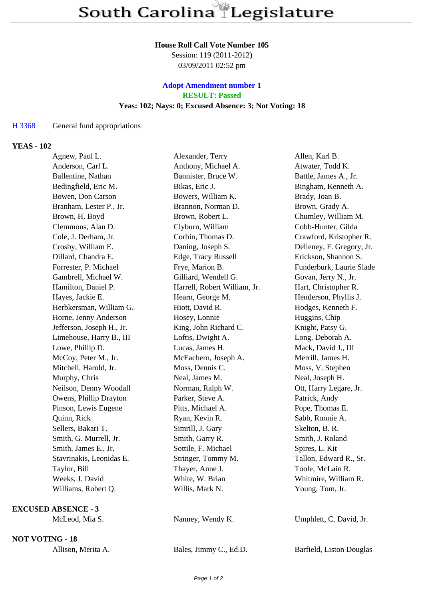## **House Roll Call Vote Number 105**

Session: 119 (2011-2012) 03/09/2011 02:52 pm

## **Adopt Amendment number 1 RESULT: Passed Yeas: 102; Nays: 0; Excused Absence: 3; Not Voting: 18**

## H 3368 General fund appropriations

## **YEAS - 102**

| Agnew, Paul L.             | Alexander, Terry             | Allen, Karl B.            |
|----------------------------|------------------------------|---------------------------|
| Anderson, Carl L.          | Anthony, Michael A.          | Atwater, Todd K.          |
| Ballentine, Nathan         | Bannister, Bruce W.          | Battle, James A., Jr.     |
| Bedingfield, Eric M.       | Bikas, Eric J.               | Bingham, Kenneth A.       |
| Bowen, Don Carson          | Bowers, William K.           | Brady, Joan B.            |
| Branham, Lester P., Jr.    | Brannon, Norman D.           | Brown, Grady A.           |
| Brown, H. Boyd             | Brown, Robert L.             | Chumley, William M.       |
| Clemmons, Alan D.          | Clyburn, William             | Cobb-Hunter, Gilda        |
| Cole, J. Derham, Jr.       | Corbin, Thomas D.            | Crawford, Kristopher R.   |
| Crosby, William E.         | Daning, Joseph S.            | Delleney, F. Gregory, Jr. |
| Dillard, Chandra E.        | Edge, Tracy Russell          | Erickson, Shannon S.      |
| Forrester, P. Michael      | Frye, Marion B.              | Funderburk, Laurie Slade  |
| Gambrell, Michael W.       | Gilliard, Wendell G.         | Govan, Jerry N., Jr.      |
| Hamilton, Daniel P.        | Harrell, Robert William, Jr. | Hart, Christopher R.      |
| Hayes, Jackie E.           | Hearn, George M.             | Henderson, Phyllis J.     |
| Herbkersman, William G.    | Hiott, David R.              | Hodges, Kenneth F.        |
| Horne, Jenny Anderson      | Hosey, Lonnie                | Huggins, Chip             |
| Jefferson, Joseph H., Jr.  | King, John Richard C.        | Knight, Patsy G.          |
| Limehouse, Harry B., III   | Loftis, Dwight A.            | Long, Deborah A.          |
| Lowe, Phillip D.           | Lucas, James H.              | Mack, David J., III       |
| McCoy, Peter M., Jr.       | McEachern, Joseph A.         | Merrill, James H.         |
| Mitchell, Harold, Jr.      | Moss, Dennis C.              | Moss, V. Stephen          |
| Murphy, Chris              | Neal, James M.               | Neal, Joseph H.           |
| Neilson, Denny Woodall     | Norman, Ralph W.             | Ott, Harry Legare, Jr.    |
| Owens, Phillip Drayton     | Parker, Steve A.             | Patrick, Andy             |
| Pinson, Lewis Eugene       | Pitts, Michael A.            | Pope, Thomas E.           |
| Quinn, Rick                | Ryan, Kevin R.               | Sabb, Ronnie A.           |
| Sellers, Bakari T.         | Simrill, J. Gary             | Skelton, B. R.            |
| Smith, G. Murrell, Jr.     | Smith, Garry R.              | Smith, J. Roland          |
| Smith, James E., Jr.       | Sottile, F. Michael          | Spires, L. Kit            |
| Stavrinakis, Leonidas E.   | Stringer, Tommy M.           | Tallon, Edward R., Sr.    |
| Taylor, Bill               | Thayer, Anne J.              | Toole, McLain R.          |
| Weeks, J. David            | White, W. Brian              | Whitmire, William R.      |
| Williams, Robert Q.        | Willis, Mark N.              | Young, Tom, Jr.           |
| <b>EXCUSED ABSENCE - 3</b> |                              |                           |
| McLeod, Mia S.             | Nanney, Wendy K.             | Umphlett, C. David, Jr.   |
| <b>NOT VOTING - 18</b>     |                              |                           |
| Allison, Merita A.         | Bales, Jimmy C., Ed.D.       | Barfield, Liston Douglas  |